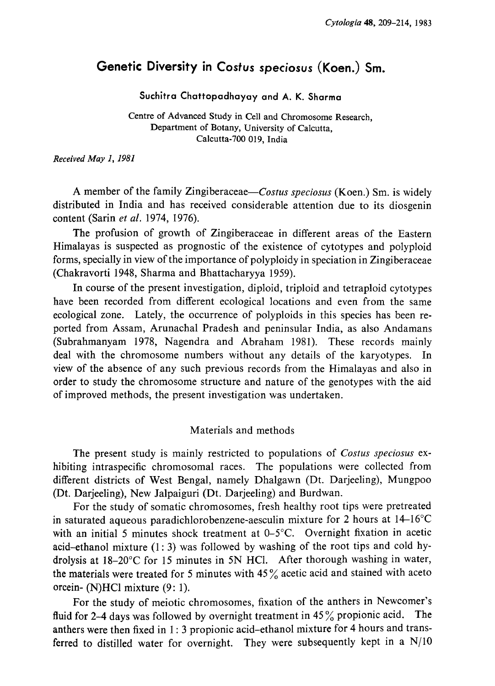# Genetic Diversity in Costus speciosus (Koen.) Sm.

Suchitra Chattopadhayay and A. K. Sharma

Centre of Advanced Study in Cell and Chromosome Research, Department of Botany, University of Calcutta, Calcutta-700 019, India

Received May 1, 1981

A member of the family Zingiberaceae-Costus speciosus (Koen.) Sm. is widely distributed in India and has received considerable attention due to its diosgenin content (Sarin et al. 1974, 1976).

The profusion of growth of Zingiberaceae in different areas of the Eastern Himalayas is suspected as prognostic of the existence of cytotypes and polyploid forms, specially in view of the importance of polyploidy in speciation in Zingiberaceae (Chakravorti 1948, Sharma and Bhattacharyya 1959).

In course of the present investigation, diploid, triploid and tetraploid cytotypes have been recorded from different ecological locations and even from the same ecological zone. Lately, the occurrence of polyploids in this species has been re ported from Assam, Arunachal Pradesh and peninsular India, as also Andamans (Subrahmanyam 1978, Nagendra and Abraham 1981). These records mainly deal with the chromosome numbers without any details of the karyotypes. In view of the absence of any such previous records from the Himalayas and also in order to study the chromosome structure and nature of the genotypes with the aid of improved methods, the present investigation was undertaken.

## Materials and methods

The present study is mainly restricted to populations of Costus speciosus exhibiting intraspecific chromosomal races. The populations were collected from different districts of West Bengal, namely Dhalgawn (Dt. Darjeeling), Mungpoo (Dt. Darjeeling), New Jalpaiguri (Dt. Darjeeling) and Burdwan.

For the study of somatic chromosomes, fresh healthy root tips were pretreated in saturated aqueous paradichlorobenzene-aesculin mixture for 2 hours at  $14-16^{\circ}C$ with an initial 5 minutes shock treatment at  $0-5^{\circ}$ C. Overnight fixation in acetic acid-ethanol mixture (1:3) was followed by washing of the root tips and cold hy drolysis at 18-20°C for 15 minutes in 5N HCl. After thorough washing in water, the materials were treated for 5 minutes with  $45\%$  acetic acid and stained with aceto orcein-(N)HCl mixture (9:1).

For the study of meiotic chromosomes, fixation of the anthers in Newcomer's fluid for 2-4 days was followed by overnight treatment in  $45\%$  propionic acid. The anthers were then fixed in 1:3 propionic acid-ethanol mixture for 4 hours and trans ferred to distilled water for overnight. They were subsequently kept in a N/10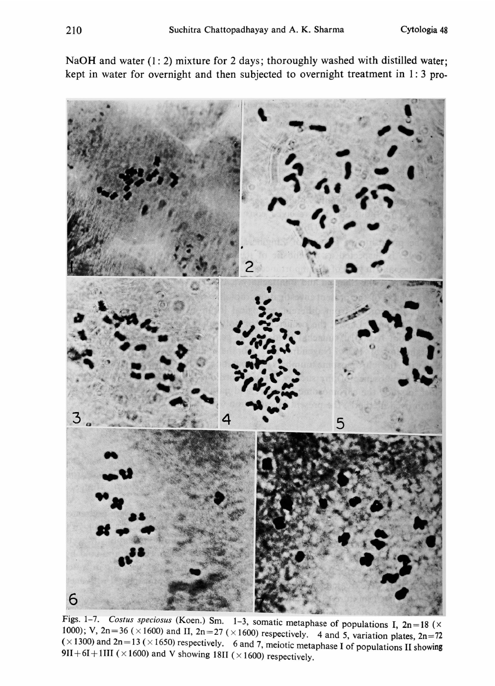5 6

Figs. 1–7. Costus speciosus (Koen.) Sm. 1–3, somatic metaphase of populations 1 ,  $2n = 36 \times 1600$ ) and II,  $2n = 27 \times 1600$ ) respectively. 4 and 5, variation plates  $2n = 72$  $=13 \times 1650$ ) respectively. 6 and 7, meiotic metaphase I of populations II showing 911+61+1111 ( $\times$ 1600) and V showing 1811 ( $\times$ 1600) respectively.

NaOH and water (1:2) mixture for 2 days; thoroughly washed with distilled water; kept in water for overnight and then subjected to overnight treatment in 1:3 pro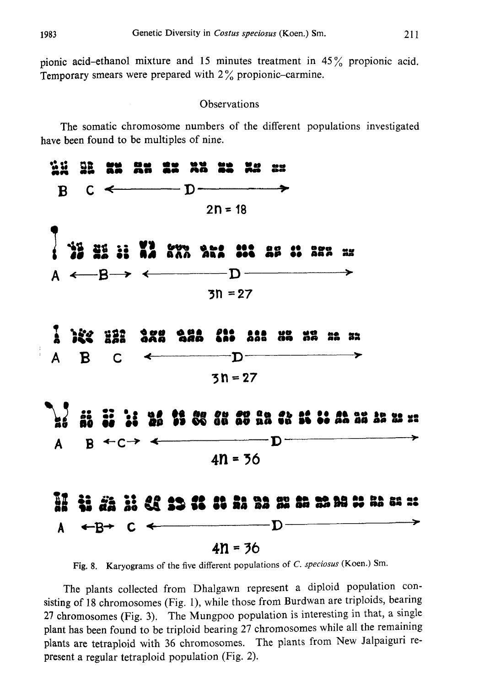pionic acid-ethanol mixture and 15 minutes treatment in  $45\%$  propionic acid. Temporary smears were prepared with 2% propionic-carmine.

## **Observations**

The somatic chromosome numbers of the different populations investigated have been found to be multiples of nine.



Fig. 8. Karyograms of the five different populations of C. speciosus (Koen.) Sm.

The plants collected from Dhalgawn represent a diploid population con sisting of 18 chromosomes (Fig. 1), while those from Burdwan are triploids, bearing 27 chromosomes (Fig. 3). The Mungpoo population is interesting in that, a single plant has been found to be triploid bearing 27 chromosomes while all the remaining plants are tetraploid with 36 chromosomes. The plants from New Jalpaiguri re present a regular tetraploid population (Fig. 2).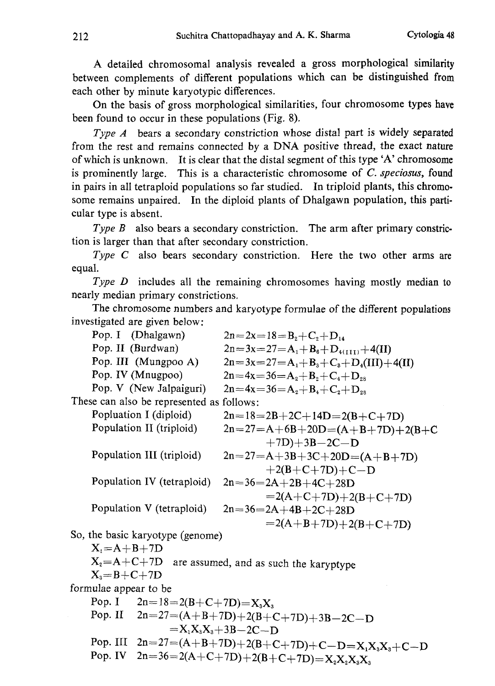A detailed chromosomal analysis revealed a gross morphological similarity between complements of different populations which can be distinguished from each other by minute karyotypic differences.

On the basis of gross morphological similarities, four chromosome types have been found to occur in these populations (Fig. 8).

Type A bears a secondary constriction whose distal part is widely separated from the rest and remains connected by a DNA positive thread, the exact nature of which is unknown. It is clear that the distal segment of this type 'A' chromosome is prominently large. This is a characteristic chromosome of  $C$ . speciosus, found in pairs in all tetraploid populations so far studied. In triploid plants, this chromo some remains unpaired. In the diploid plants of Dhalgawn population, this parti cular type is absent.

Type  $B$  also bears a secondary constriction. The arm after primary constriction is larger than that after secondary constriction.

Type C also bears secondary constriction. Here the two other arms are equal.

Type D includes all the remaining chromosomes having mostly median to nearly median primary constrictions.

The chromosome numbers and karyotype formulae of the different populations investigated are given below:

|                                                           | Pop. I (Dhalgawn)                    | $2n=2x=18=B_2+C_2+D_{14}$                             |
|-----------------------------------------------------------|--------------------------------------|-------------------------------------------------------|
|                                                           | Pop. II (Burdwan)                    | $2n=3x=27=A_1+B_6+D_{4(111)}+4(II)$                   |
|                                                           | Pop. III (Mungpoo A)                 | $2n=3x=27=A_1+B_3+C_3+D_4(III)+4(II)$                 |
|                                                           | Pop. IV (Mnugpoo)                    | $2n=4x=36=A_2+B_2+C_4+D_{28}$                         |
|                                                           | Pop. V (New Jalpaiguri)              | $2n=4x=36=A_2+B_4+C_2+D_{28}$                         |
| These can also be represented as follows:                 |                                      |                                                       |
|                                                           | Popluation I (diploid)               | $2n=18=2B+2C+14D=2(B+C+7D)$                           |
|                                                           | Population II (triploid)             | $2n=27=A+6B+20D=(A+B+7D)+2(B+C)$                      |
|                                                           |                                      | $+7D$ ) + 3B - 2C - D                                 |
|                                                           | Population III (triploid)            | $2n=27=A+3B+3C+20D=(A+B+7D)$                          |
|                                                           |                                      | $+2(B+C+7D)+C-D$                                      |
|                                                           | Population IV (tetraploid)           | $2n=36=2A+2B+4C+28D$                                  |
|                                                           |                                      | $=2(A+C+7D)+2(B+C+7D)$                                |
|                                                           | Population V (tetraploid)            | $2n=36=2A+4B+2C+28D$                                  |
|                                                           |                                      | $=2(A+B+7D)+2(B+C+7D)$                                |
| So, the basic karyotype (genome)                          |                                      |                                                       |
| $X_i = A + B + 7D$                                        |                                      |                                                       |
| $X_2 = A + C + 7D$ are assumed, and as such the karyptype |                                      |                                                       |
| $X_3=B+C+7D$                                              |                                      |                                                       |
| formulae appear to be                                     |                                      |                                                       |
|                                                           | Pop. $I$<br>$2n=18=2(B+C+7D)=X_3X_3$ |                                                       |
|                                                           |                                      | Pop. II $2n=27=(A+B+7D)+2(B+C+7D)+3B-2C-D$            |
| $=X_1X_3X_3+3B-2C-D$                                      |                                      |                                                       |
|                                                           |                                      | Pop. III $2n=27=(A+B+7D)+2(B+C+7D)+C-D=X_1X_3X_3+C-D$ |
|                                                           |                                      | Pop. IV $2n=36=2(A+C+7D)+2(B+C+7D)=X_2X_2X_3X_3$      |
|                                                           |                                      |                                                       |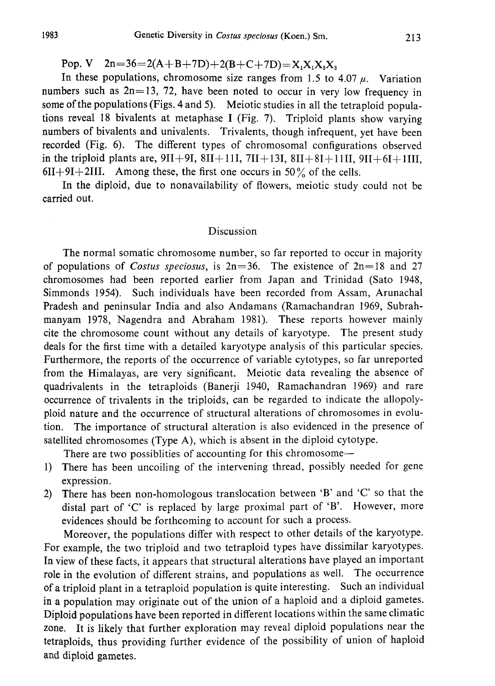Pop. V  $2n=36=2(A+B+7D)+2(B+C+7D)=X_1X_2X_3X_3$ 

In these populations, chromosome size ranges from 1.5 to 4.07  $\mu$ . Variation numbers such as  $2n=13$ , 72, have been noted to occur in very low frequency in some of the populations (Figs. 4 and 5). Meiotic studies in all the tetraploid populations reveal 18 bivalents at metaphase I (Fig. 7). Triploid plants show varying numbers of bivalents and univalents. Trivalents, though infrequent, yet have been recorded (Fig. 6). The different types of chromosomal configurations observed in the triploid plants are,  $9II+9I$ ,  $8II+11I$ ,  $7II+13I$ ,  $8II+8I+11II$ ,  $9II+6I+1III$ ,  $6II+9I+2III$ . Among these, the first one occurs in 50% of the cells.

In the diploid, due to nonavailability of flowers, meiotic study could not be carried out.

## Discussion

The normal somatic chromosome number, so far reported to occur in majority of populations of Costus speciosus, is  $2n=36$ . The existence of  $2n=18$  and 27 chromosomes had been reported earlier from Japan and Trinidad (Sato 1948, Simmonds 1954). Such individuals have been recorded from Assam, Arunachal Pradesh and peninsular India and also Andamans (Ramachandran 1969, Subrah manyam 1978, Nagendra and Abraham 1981). These reports however mainly cite the chromosome count without any details of karyotype. The present study deals for the first time with a detailed karyotype analysis of this particular species. Furthermore, the reports of the occurrence of variable cytotypes, so far unreported from the Himalayas, are very significant. Meiotic data revealing the absence of quadrivalents in the tetraploids (Banerji 1940, Ramachandran 1969) and rare occurrence of trivalents in the triploids, can be regarded to indicate the allopoly ploid nature and the occurrence of structural alterations of chromosomes in evolu tion. The importance of structural alteration is also evidenced in the presence of satellited chromosomes (Type A), which is absent in the diploid cytotype.

There are two possiblities of accounting for this chromosome

- -1) There has been uncoiling of the intervening thread, possibly needed for gene expression.
- 2) There has been non-homologous translocation between 'B' and 'C' so that the distal part of 'C' is replaced by large proximal part of 'B'. However, more evidences should be forthcoming to account for such a process.

Moreover, the populations differ with respect to other details of the karyotype. For example, the two triploid and two tetraploid types have dissimilar karyotypes. In view of these facts, it appears that structural alterations have played an important role in the evolution of different strains, and populations as well. The occurrence of a triploid plant in a tetraploid population is quite interesting. Such an individual in a population may originate out of the union of a haploid and a diploid gametes. Diploid populations have been reported in different locations within the same climatic zone. It is likely that further exploration may reveal diploid populations near the tetraploids, thus providing further evidence of the possibility of union of haploid and diploid gametes.